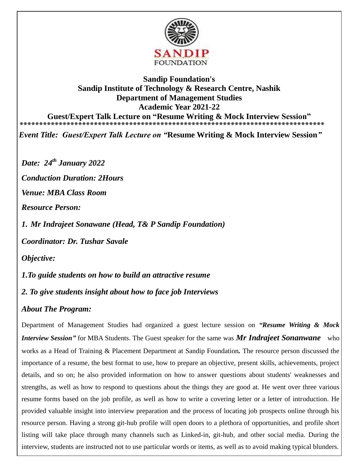

## **Sandip Foundation's Sandip Institute of Technology & Research Centre, Nashik Department of Management Studies Academic Year 2021-22 Guest/Expert Talk Lecture on "Resume Writing & Mock Interview Session"**

**\*\*\*\*\*\*\*\*\*\*\*\*\*\*\*\*\*\*\*\*\*\*\*\*\*\*\*\*\*\*\*\*\*\*\*\*\*\*\*\*\*\*\*\*\*\*\*\*\*\*\*\*\*\*\*\*\*\*\*\*\*\*\*\*\*\*\*\*\*\*\*\*\*\*\*\*\*\*** 

*Event Title: Guest/Expert Talk Lecture on "***Resume Writing & Mock Interview Session***"*

*Date: 24th January 2022*

*Conduction Duration: 2Hours* 

*Venue: MBA Class Room* 

*Resource Person:* 

*1. Mr Indrajeet Sonawane (Head, T& P Sandip Foundation)*

*Coordinator: Dr. Tushar Savale* 

*Objective:*

*1.To guide students on how to build an attractive resume* 

*2. To give students insight about how to face job Interviews* 

## *About The Program:*

Department of Management Studies had organized a guest lecture session on *"Resume Writing & Mock Interview Session"* for MBA Students. The Guest speaker for the same was *Mr Indrajeet Sonanwane* who works as a Head of Training & Placement Department at Sandip Foundation*.* The resource person discussed the importance of a resume, the best format to use, how to prepare an objective, present skills, achievements, project details, and so on; he also provided information on how to answer questions about students' weaknesses and strengths, as well as how to respond to questions about the things they are good at. He went over three various resume forms based on the job profile, as well as how to write a covering letter or a letter of introduction. He provided valuable insight into interview preparation and the process of locating job prospects online through his resource person. Having a strong git-hub profile will open doors to a plethora of opportunities, and profile short listing will take place through many channels such as Linked-in, git-hub, and other social media. During the interview, students are instructed not to use particular words or items, as well as to avoid making typical blunders.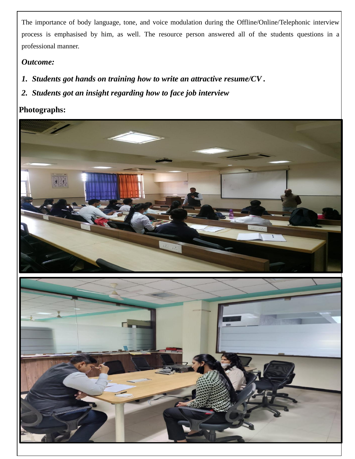The importance of body language, tone, and voice modulation during the Offline/Online/Telephonic interview process is emphasised by him, as well. The resource person answered all of the students questions in a professional manner.

## *Outcome:*

- *1. Students got hands on training how to write an attractive resume/CV .*
- *2. Students got an insight regarding how to face job interview*

## **Photographs:**